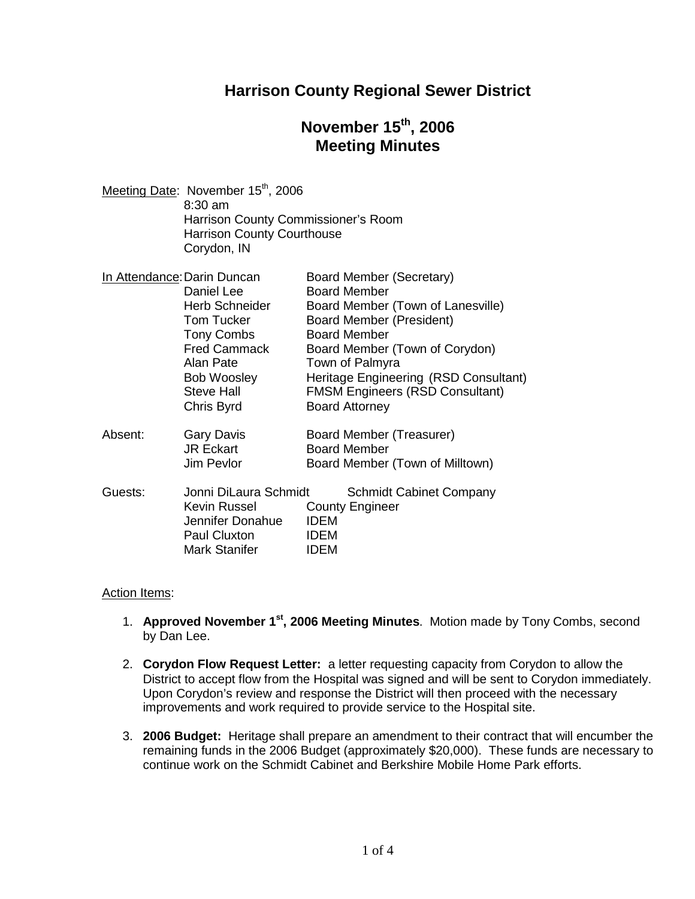# **Harrison County Regional Sewer District**

# **November 15 th , 2006 Meeting Minutes**

| Meeting Date: November 15 <sup>th</sup> , 2006 |
|------------------------------------------------|
| $8:30 \text{ am}$                              |
| Harrison County Commissioner's Room            |
| <b>Harrison County Courthouse</b>              |
| Corydon, IN                                    |
|                                                |

|         | In Attendance: Darin Duncan | <b>Board Member (Secretary)</b>        |
|---------|-----------------------------|----------------------------------------|
|         | Daniel Lee                  | <b>Board Member</b>                    |
|         | <b>Herb Schneider</b>       | Board Member (Town of Lanesville)      |
|         | <b>Tom Tucker</b>           | Board Member (President)               |
|         | <b>Tony Combs</b>           | <b>Board Member</b>                    |
|         | <b>Fred Cammack</b>         | Board Member (Town of Corydon)         |
|         | Alan Pate                   | Town of Palmyra                        |
|         | <b>Bob Woosley</b>          | Heritage Engineering (RSD Consultant)  |
|         | Steve Hall                  | <b>FMSM Engineers (RSD Consultant)</b> |
|         | Chris Byrd                  | <b>Board Attorney</b>                  |
| Absent: | <b>Gary Davis</b>           | Board Member (Treasurer)               |
|         | <b>JR Eckart</b>            | <b>Board Member</b>                    |
|         | Jim Pevlor                  | Board Member (Town of Milltown)        |
| Guests: | Jonni DiLaura Schmidt       | <b>Schmidt Cabinet Company</b>         |
|         | Kevin Russel                | <b>County Engineer</b>                 |
|         | Jennifer Donahue            | <b>IDEM</b>                            |
|         | Paul Cluxton                | <b>IDEM</b>                            |
|         | Mark Stanifer               | IDEM                                   |

#### Action Items:

- 1. **Approved November 1st , 2006 Meeting Minutes**. Motion made by Tony Combs, second by Dan Lee.
- 2. **Corydon Flow Request Letter:** a letter requesting capacity from Corydon to allow the District to accept flow from the Hospital was signed and will be sent to Corydon immediately. Upon Corydon's review and response the District will then proceed with the necessary improvements and work required to provide service to the Hospital site.
- 3. **2006 Budget:** Heritage shall prepare an amendment to their contract that will encumber the remaining funds in the 2006 Budget (approximately \$20,000). These funds are necessary to continue work on the Schmidt Cabinet and Berkshire Mobile Home Park efforts.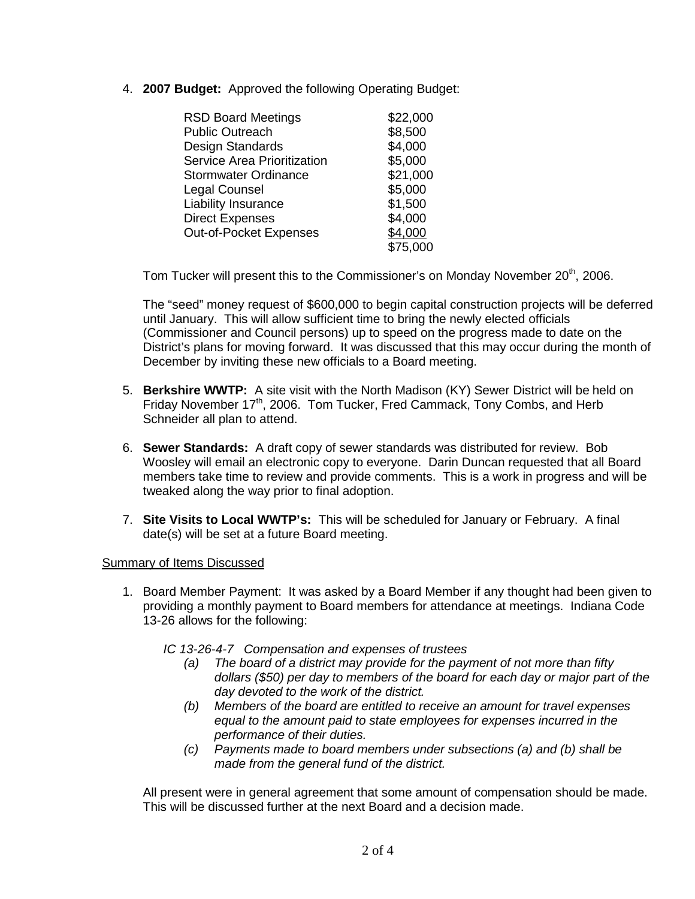4. **2007 Budget:** Approved the following Operating Budget:

| <b>RSD Board Meetings</b>          | \$22,000 |
|------------------------------------|----------|
| <b>Public Outreach</b>             | \$8,500  |
| Design Standards                   | \$4,000  |
| <b>Service Area Prioritization</b> | \$5,000  |
| <b>Stormwater Ordinance</b>        | \$21,000 |
| Legal Counsel                      | \$5,000  |
| <b>Liability Insurance</b>         | \$1,500  |
| <b>Direct Expenses</b>             | \$4,000  |
| Out-of-Pocket Expenses             | \$4,000  |
|                                    | \$75,000 |

Tom Tucker will present this to the Commissioner's on Monday November 20<sup>th</sup>, 2006.

The "seed" money request of \$600,000 to begin capital construction projects will be deferred until January. This will allow sufficient time to bring the newly elected officials (Commissioner and Council persons) up to speed on the progress made to date on the District's plans for moving forward. It was discussed that this may occur during the month of December by inviting these new officials to a Board meeting.

- 5. **Berkshire WWTP:** A site visit with the North Madison (KY) Sewer District will be held on Friday November 17<sup>th</sup>, 2006. Tom Tucker, Fred Cammack, Tony Combs, and Herb Schneider all plan to attend.
- 6. **Sewer Standards:** A draft copy of sewer standards was distributed for review. Bob Woosley will email an electronic copy to everyone. Darin Duncan requested that all Board members take time to review and provide comments. This is a work in progress and will be tweaked along the way prior to final adoption.
- 7. **Site Visits to Local WWTP's:** This will be scheduled for January or February. A final date(s) will be set at a future Board meeting.

### Summary of Items Discussed

1. Board Member Payment: It was asked by a Board Member if any thought had been given to providing a monthly payment to Board members for attendance at meetings. Indiana Code 13-26 allows for the following:

*IC 13-26-4-7 Compensation and expenses of trustees*

- *(a) The board of a district may provide for the payment of not more than fifty dollars (\$50) per day to members of the board for each day or major part of the day devoted to the work of the district.*
- *(b) Members of the board are entitled to receive an amount for travel expenses equal to the amount paid to state employees for expenses incurred in the performance of their duties.*
- *(c) Payments made to board members under subsections (a) and (b) shall be made from the general fund of the district.*

All present were in general agreement that some amount of compensation should be made. This will be discussed further at the next Board and a decision made.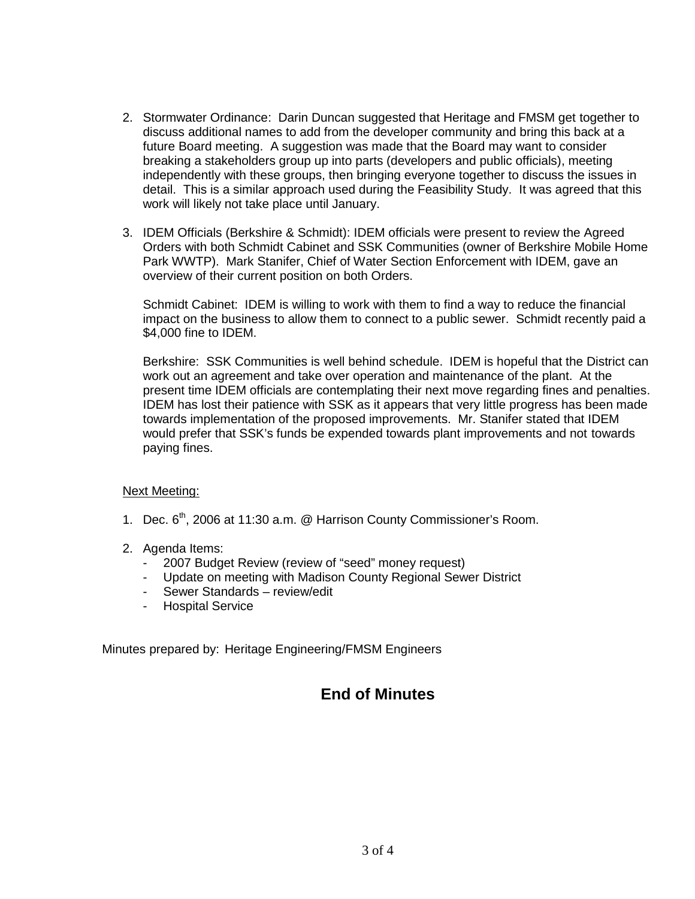- 2. Stormwater Ordinance: Darin Duncan suggested that Heritage and FMSM get together to discuss additional names to add from the developer community and bring this back at a future Board meeting. A suggestion was made that the Board may want to consider breaking a stakeholders group up into parts (developers and public officials), meeting independently with these groups, then bringing everyone together to discuss the issues in detail. This is a similar approach used during the Feasibility Study. It was agreed that this work will likely not take place until January.
- 3. IDEM Officials (Berkshire & Schmidt): IDEM officials were present to review the Agreed Orders with both Schmidt Cabinet and SSK Communities (owner of Berkshire Mobile Home Park WWTP). Mark Stanifer, Chief of Water Section Enforcement with IDEM, gave an overview of their current position on both Orders.

Schmidt Cabinet: IDEM is willing to work with them to find a way to reduce the financial impact on the business to allow them to connect to a public sewer. Schmidt recently paid a \$4,000 fine to IDEM.

Berkshire: SSK Communities is well behind schedule. IDEM is hopeful that the District can work out an agreement and take over operation and maintenance of the plant. At the present time IDEM officials are contemplating their next move regarding fines and penalties. IDEM has lost their patience with SSK as it appears that very little progress has been made towards implementation of the proposed improvements. Mr. Stanifer stated that IDEM would prefer that SSK's funds be expended towards plant improvements and not towards paying fines.

### Next Meeting:

- 1. Dec. 6<sup>th</sup>, 2006 at 11:30 a.m. @ Harrison County Commissioner's Room.
- 2. Agenda Items:
	- 2007 Budget Review (review of "seed" money request)
	- Update on meeting with Madison County Regional Sewer District
	- Sewer Standards review/edit
	- Hospital Service

Minutes prepared by: Heritage Engineering/FMSM Engineers

## **End of Minutes**